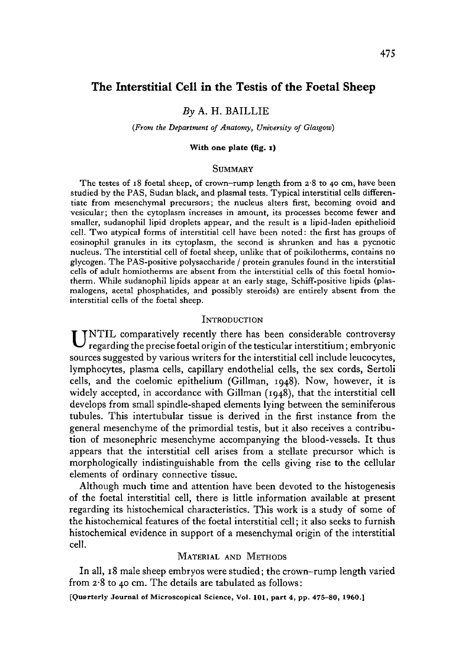# The Interstitial Cell in the Testis of the Foetal Sheep

### *By* A. H. BAILLIE

#### *(From the Department of Anatomy, University of Glasgow)*

#### **With one plate (fig. i)**

### **SUMMARY**

The testes of 18 foetal sheep, of crown-rump length from 2-8 to 40 cm, have been studied by the PAS, Sudan black, and plasmal tests. Typical interstitial cells differentiate from mesenchymal precursors; the nucleus alters first, becoming ovoid and vesicular; then the cytoplasm increases in amount, its processes become fewer and smaller, sudanophil lipid droplets appear, and the result is a lipid-laden epithelioid cell. Two atypical forms of interstitial cell have been noted: the first has groups of eosinophil granules in its cytoplasm, the second is shrunken and has a pycnotic nucleus. The interstitial cell of foetal sheep, unlike that of poikilotherms, contains no glycogen. The PAS-positive polysaccharide / protein granules found in the interstitial cells of adult homiotherms are absent from the interstitial cells of this foetal homiotherm. While sudanophil lipids appear at an early stage, Schiff-positive lipids (plasmalogens, acetal phosphatides, and possibly steroids) are entirely absent from the interstitial cells of the foetal sheep.

### **INTRODUCTION**

UNTIL comparatively recently there has been considerable controversy regarding the precise foetal origin of the testicular interstitium; embryonic sources suggested by various writers for the interstitial cell include leucocytes, lymphocytes, plasma cells, capillary endothelial cells, the sex cords, Sertoli cells, and the coelomic epithelium (Gillman, 1948). Now, however, it is widely accepted, in accordance with Gillman (1948), that the interstitial cell develops from small spindle-shaped elements lying between the seminiferous tubules. This intertubular tissue is derived in the first instance from the general mesenchyme of the primordial testis, but it also receives a contribution of mesonephric mesenchyme accompanying the blood-vessels. It thus appears that the interstitial cell arises from a stellate precursor which is morphologically indistinguishable from the cells giving rise to the cellular elements of ordinary connective tissue.

Although much time and attention have been devoted to the histogenesis of the foetal interstitial cell, there is little information available at present regarding its histochemical characteristics. This work is a study of some of the histochemical features of the foetal interstitial cell; it also seeks to furnish histochemical evidence in support of a mesenchymal origin of the interstitial cell.

# MATERIAL AND METHODS

In all, 18 male sheep embryos were studied; the crown-rump length varied from 2-8 to 40 cm. The details are tabulated as follows:

**[Quarterly Journal of Microscopical Science, Vol.** 101, **part 4, pp. 475-80, I960.]**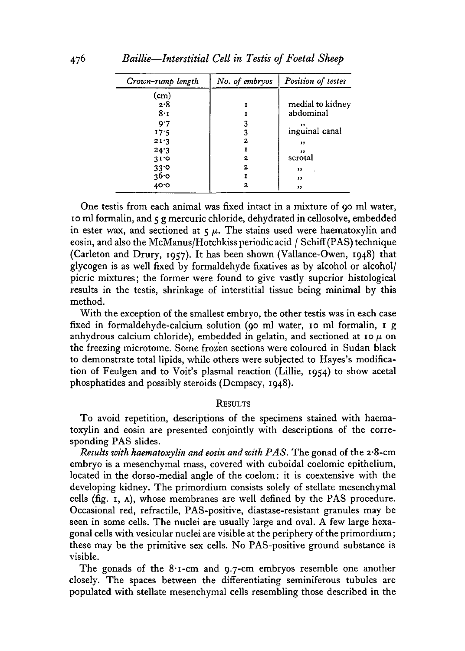| Crown-rump length | No. of embryos | Position of testes |
|-------------------|----------------|--------------------|
| (cm)              |                |                    |
| 2.8               |                | medial to kidney   |
| 8. т              |                | abdominal          |
| 9.7               |                |                    |
| 17.5              |                | inguinal canal     |
| 21.3              | 2              | ,,                 |
| 24.3              |                | ,,                 |
| 31.0              | 2              | scrotal            |
| $33^\circ$        | 2              | ,,                 |
| 36∙0              |                | ,,                 |
| ە 40              |                | , 1                |

476 *Baillie*—*Interstitial Cell in Testis of Foetal Sheep*

One testis from each animal was fixed intact in a mixture of 90 ml water, 10 ml formalin, and 5 g mercuric chloride, dehydrated in cellosolve, embedded in ester wax, and sectioned at  $5 \mu$ . The stains used were haematoxylin and eosin, and also the McManus/Hotchkiss periodic acid / Schiff (PAS) technique (Carleton and Drury, 1957). It has been shown (Vallance-Owen, 1948) that glycogen is as well fixed by formaldehyde fixatives as by alcohol or alcohol/ picric mixtures; the former were found to give vastly superior histological results in the testis, shrinkage of interstitial tissue being minimal by this method.

With the exception of the smallest embryo, the other testis was in each case fixed in formaldehyde-calcium solution (90 ml water, 10 ml formalin, 1 g anhydrous calcium chloride), embedded in gelatin, and sectioned at 10  $\mu$  on the freezing microtome. Some frozen sections were coloured in Sudan black to demonstrate total lipids, while others were subjected to Hayes's modification of Feulgen and to Voit's plasmal reaction (Lillie, 1954) to show acetal phosphatides and possibly steroids (Dempsey, 1948).

#### **RESULTS**

To avoid repetition, descriptions of the specimens stained with haematoxylin and eosin are presented conjointly with descriptions of the corresponding PAS slides.

*Results with haematoxylin and eosin and with PAS.* The gonad of the 2\*8-cm embryo is a mesenchymal mass, covered with cuboidal coelomic epithelium, located in the dorso-medial angle of the coelom: it is coextensive with the developing kidney. The primordium consists solely of stellate mesenchymal cells (fig. 1, A), whose membranes are well defined by the PAS procedure. Occasional red, refractile, PAS-positive, diastase-resistant granules may be seen in some cells. The nuclei are usually large and oval. A few large hexagonal cells with vesicular nuclei are visible at the periphery of the primordium; these may be the primitive sex cells. No PAS-positive ground substance is visible.

The gonads of the  $8 \cdot 1$ -cm and  $9.7$ -cm embryos resemble one another closely. The spaces between the differentiating seminiferous tubules are populated with stellate mesenchymal cells resembling those described in the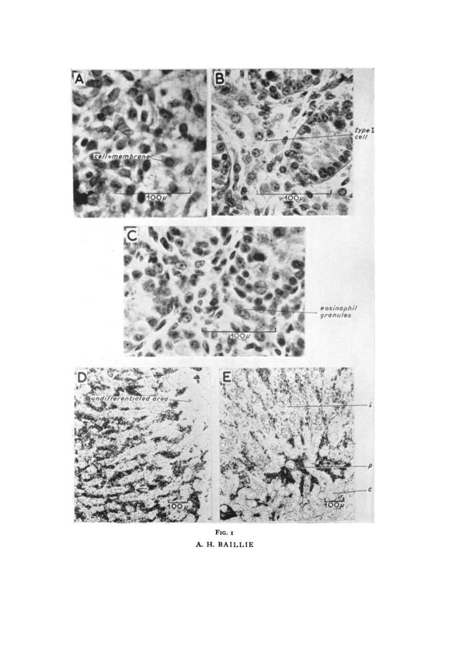

FIG. I A. H. BAILLIE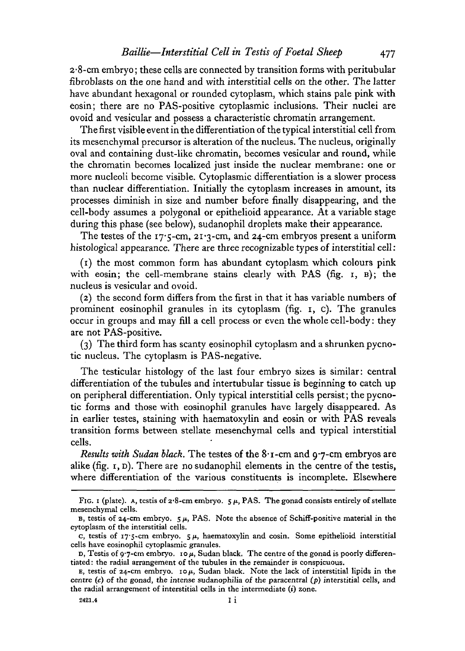2-8-cm embryo; these cells are connected by transition forms with peritubular fibroblasts on the one hand and with interstitial cells on the other. The latter have abundant hexagonal or rounded cytoplasm, which stains pale pink with eosin; there are no PAS-positive cytoplasmic inclusions. Their nuclei are ovoid and vesicular and possess a characteristic chromatin arrangement.

The first visible event in the differentiation of the typical interstitial cell from its mesenchymal precursor is alteration of the nucleus. The nucleus, originally oval and containing dust-like chromatin, becomes vesicular and round, while the chromatin becomes localized just inside the nuclear membrane: one or more nucleoli become visible. Cytoplasmic differentiation is a slower process than nuclear differentiation. Initially the cytoplasm increases in amount, its processes diminish in size and number before finally disappearing, and the cell-body assumes a polygonal or epithelioid appearance. At a variable stage during this phase (see below), sudanophil droplets make their appearance.

The testes of the  $17.5$ -cm,  $21.3$ -cm, and  $24$ -cm embryos present a uniform histological appearance. There are three recognizable types of interstitial cell:

(1) the most common form has abundant cytoplasm which colours pink with eosin; the cell-membrane stains clearly with PAS (fig. 1, B); the nucleus is vesicular and ovoid.

(2) the second form differs from the first in that it has variable numbers of prominent eosinophil granules in its cytoplasm (fig. i, c). The granules occur in groups and may fill a cell process or even the whole cell-body: they are not PAS-positive.

(3) The third form has scanty eosinophil cytoplasm and a shrunken pycnotic nucleus. The cytoplasm is PAS-negative.

The testicular histology of the last four embryo sizes is similar: central differentiation of the tubules and intertubular tissue is beginning to catch up on peripheral differentiation. Only typical interstitial cells persist; the pycnotic forms and those with eosinophil granules have largely disappeared. As in earlier testes, staining with haematoxylin and eosin or with PAS reveals transition forms between stellate mesenchymal cells and typical interstitial cells.

*Results with Sudan black*. The testes of the 8'<sub>1</sub>-cm and 9'7-cm embryos are alike  $(f_1g, r, p)$ . There are no sudanophil elements in the centre of the testis, where differentiation of the various constituents is incomplete. Elsewhere

FIG. 1 (plate). A, testis of  $2.8$ -cm embryo.  $5\mu$ , PAS. The gonad consists entirely of stellate mesenchymal cells.

B, testis of 24-cm embryo.  $5 \mu$ , PAS. Note the absence of Schiff-positive material in the cytoplasm of the interstitial cells.

c, testis of 17.5-cm embryo.  $5 \mu$ , haematoxylin and cosin. Some epithelioid interstitial cells have eosinophil cytoplasmic granules.

D, Testis of 9.7-cm embryo. 10 $\mu$ , Sudan black. The centre of the gonad is poorly differentiated: the radial arrangement of the tubules in the remainder is conspicuous.

E, testis of 24-cm embryo.  $10\mu$ , Sudan black. Note the lack of interstitial lipids in the centre (c) of the gonad, the intense sudanophilia of the paracentral *(p)* interstitial cells, and the radial arrangement of interstitial cells in the intermediate (i) zone.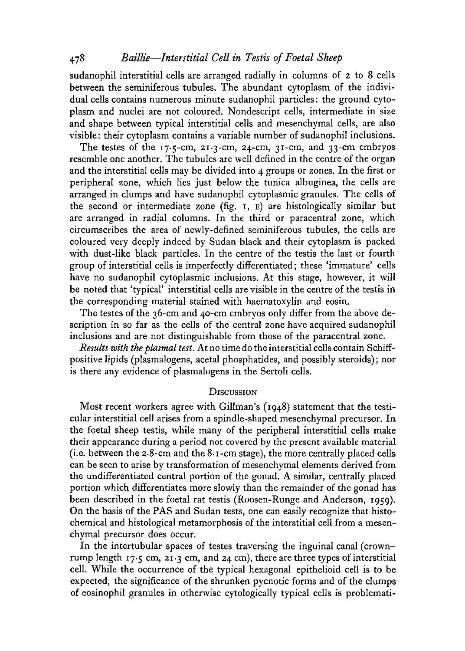# 478 *Baillie*—*Interstitial Cell in Testis of Foetal Sheep*

sudanophil interstitial cells are arranged radially in columns of 2 to 8 cells between the seminiferous tubules. The abundant cytoplasm of the individual cells contains numerous minute sudanophil particles: the ground cytoplasm and nuclei are not coloured. Nondescript cells, intermediate in size and shape between typical interstitial cells and mesenchymal cells, are also visible: their cytoplasm contains a variable number of sudanophil inclusions.

The testes of the  $17.5$ -cm,  $21.3$ -cm,  $24$ -cm,  $31$ -cm, and  $33$ -cm embryos resemble one another. The tubules are well defined in the centre of the organ and the interstitial cells may be divided into 4 groups or zones. In the first or peripheral zone, which lies just below the tunica albuginea, the cells are arranged in clumps and have sudanophil cytoplasmic granules. The cells of the second or intermediate zone (fig. 1, E) are histologically similar but are arranged in radial columns. In the third or paracentral zone, which circumscribes the area of newly-defined seminiferous tubules, the cells are coloured very deeply indeed by Sudan black and their cytoplasm is packed with dust-like black particles. In the centre of the testis the last or fourth group of interstitial cells is imperfectly differentiated; these 'immature' cells have no sudanophil cytoplasmic inclusions. At this stage, however, it will be noted that 'typical' interstitial cells are visible in the centre of the testis in the corresponding material stained with haematoxylin and eosin.

The testes of the 36-cm and 40-cm embryos only differ from the above description in so far as the cells of the central zone have acquired sudanophil inclusions and are not distinguishable from those of the paracentral zone.

*Results with the plasma! test.* At no time do the interstitial cells contain Schiffpositive lipids (plasmalogens, acetal phosphatides, and possibly steroids); nor is there any evidence of plasmalogens in the Sertoli cells.

#### **DISCUSSION**

Most recent workers agree with Gillman's (1948) statement that the testicular interstitial cell arises from a spindle-shaped mesenchymal precursor. In the foetal sheep testis, while many of the peripheral interstitial cells make their appearance during a period not covered by the present available material (i.e. between the 2-8-cm and the 8-i-cm stage), the more centrally placed cells can be seen to arise by transformation of mesenchymal elements derived from the undifferentiated central portion of the gonad. A similar, centrally placed portion which differentiates more slowly than the remainder of the gonad has been described in the foetal rat testis (Roosen-Runge and Anderson, 1959). On the basis of the PAS and Sudan tests, one can easily recognize that histochemical and histological metamorphosis of the interstitial cell from a mesenchymal precursor does occur.

In the intertubular spaces of testes traversing the inguinal canal (crownrump length 17-5 cm, 21-3 cm, and 24 cm), there are three types of interstitial cell. While the occurrence of the typical hexagonal epithelioid cell is to be expected, the significance of the shrunken pycnotic forms and of the clumps of eosinophil granules in otherwise cytologically typical cells is problemati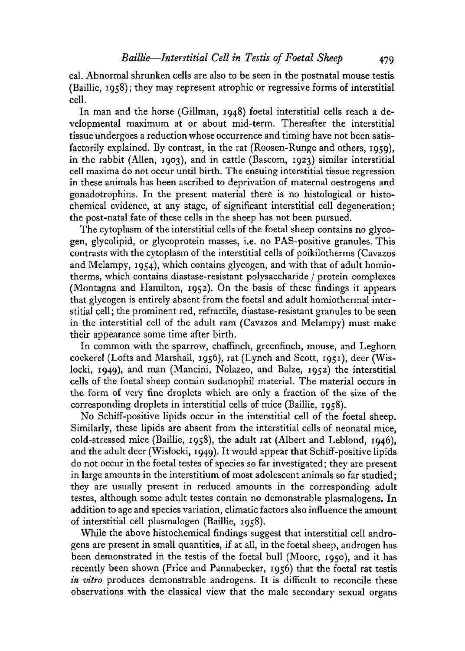cal. Abnormal shrunken cells are also to be seen in the postnatal mouse testis (Baillie, 1958); they may represent atrophic or regressive forms of interstitial cell.

In man and the horse (Gillman, 1948) foetal interstitial cells reach a developmental maximum at or about mid-term. Thereafter the interstitial tissue undergoes a reduction whose occurrence and timing have not been satisfactorily explained. By contrast, in the rat (Roosen-Runge and others, 1959), in the rabbit (Allen, 1903), and in cattle (Bascom, 1923) similar interstitial cell maxima do not occur until birth. The ensuing interstitial tissue regression in these animals has been ascribed to deprivation of maternal oestrogens and gonadotrophins. In the present material there is no histological or histochemical evidence, at any stage, of significant interstitial cell degeneration; the post-natal fate of these cells in the sheep has not been pursued.

The cytoplasm of the interstitial cells of the foetal sheep contains no glycogen, glycolipid, or glycoprotein masses, i.e. no PAS-positive granules. This contrasts with the cytoplasm of the interstitial cells of poikilotherms (Cavazos and Melampy, 1954), which contains glycogen, and with that of adult homiotherms, which contains diastase-resistant polysaccharide / protein complexes (Montagna and Hamilton, 1952). On the basis of these findings it appears that glycogen is entirely absent from the foetal and adult homiothermal interstitial cell; the prominent red, refractile, diastase-resistant granules to be seen in the interstitial cell of the adult ram (Cavazos and Melampy) must make their appearance some time after birth.

In common with the sparrow, chaffinch, greenfinch, mouse, and Leghorn cockerel (Lofts and Marshall, 1956), rat (Lynch and Scott, 1951), deer (Wislocki, 1949), and man (Mancini, Nolazeo, and Baize, 1952) the interstitial cells of the foetal sheep contain sudanophil material. The material occurs in the form of very fine droplets which are only a fraction of the size of the corresponding droplets in interstitial cells of mice (Baillie, 1958).

No Schiff-positive lipids occur in the interstitial cell of the foetal sheep. Similarly, these lipids are absent from the interstitial cells of neonatal mice, cold-stressed mice (Baillie, 1958), the adult rat (Albert and Leblond, 1946), and the adult deer (Wislocki, 1949). It would appear that Schiff-positive lipids do not occur in the foetal testes of species so far investigated; they are present in large amounts in the interstitium of most adolescent animals so far studied; they are usually present in reduced amounts in the corresponding adult testes, although some adult testes contain no demonstrable plasmalogens. In addition to age and species variation, climatic factors also influence the amount of interstitial cell plasmalogen (Baillie, 1958).

While the above histochemical findings suggest that interstitial cell androgens are present in small quantities, if at all, in the foetal sheep, androgen has been demonstrated in the testis of the foetal bull (Moore, 1950), and it has recently been shown (Price and Pannabecker, 1956) that the foetal rat testis *in vitro* produces demonstrable androgens. It is difficult to reconcile these observations with the classical view that the male secondary sexual organs